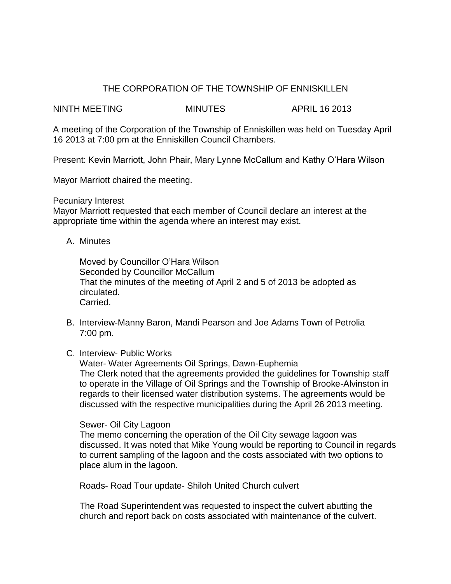## THE CORPORATION OF THE TOWNSHIP OF ENNISKILLEN

NINTH MEETING MINUTES APRIL 16 2013

A meeting of the Corporation of the Township of Enniskillen was held on Tuesday April 16 2013 at 7:00 pm at the Enniskillen Council Chambers.

Present: Kevin Marriott, John Phair, Mary Lynne McCallum and Kathy O'Hara Wilson

Mayor Marriott chaired the meeting.

## Pecuniary Interest

Mayor Marriott requested that each member of Council declare an interest at the appropriate time within the agenda where an interest may exist.

A. Minutes

Moved by Councillor O'Hara Wilson Seconded by Councillor McCallum That the minutes of the meeting of April 2 and 5 of 2013 be adopted as circulated. Carried.

- B. Interview-Manny Baron, Mandi Pearson and Joe Adams Town of Petrolia 7:00 pm.
- C. Interview- Public Works

Water- Water Agreements Oil Springs, Dawn-Euphemia The Clerk noted that the agreements provided the guidelines for Township staff to operate in the Village of Oil Springs and the Township of Brooke-Alvinston in regards to their licensed water distribution systems. The agreements would be discussed with the respective municipalities during the April 26 2013 meeting.

## Sewer- Oil City Lagoon

The memo concerning the operation of the Oil City sewage lagoon was discussed. It was noted that Mike Young would be reporting to Council in regards to current sampling of the lagoon and the costs associated with two options to place alum in the lagoon.

Roads- Road Tour update- Shiloh United Church culvert

The Road Superintendent was requested to inspect the culvert abutting the church and report back on costs associated with maintenance of the culvert.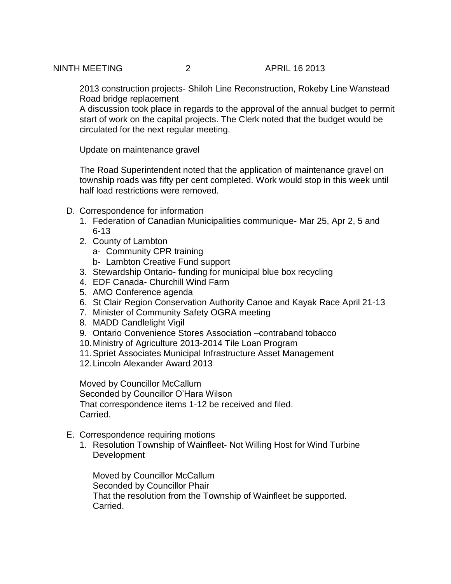2013 construction projects- Shiloh Line Reconstruction, Rokeby Line Wanstead Road bridge replacement

A discussion took place in regards to the approval of the annual budget to permit start of work on the capital projects. The Clerk noted that the budget would be circulated for the next regular meeting.

Update on maintenance gravel

The Road Superintendent noted that the application of maintenance gravel on township roads was fifty per cent completed. Work would stop in this week until half load restrictions were removed.

- D. Correspondence for information
	- 1. Federation of Canadian Municipalities communique- Mar 25, Apr 2, 5 and 6-13
	- 2. County of Lambton
		- a- Community CPR training
		- b- Lambton Creative Fund support
	- 3. Stewardship Ontario- funding for municipal blue box recycling
	- 4. EDF Canada- Churchill Wind Farm
	- 5. AMO Conference agenda
	- 6. St Clair Region Conservation Authority Canoe and Kayak Race April 21-13
	- 7. Minister of Community Safety OGRA meeting
	- 8. MADD Candlelight Vigil
	- 9. Ontario Convenience Stores Association –contraband tobacco
	- 10.Ministry of Agriculture 2013-2014 Tile Loan Program
	- 11.Spriet Associates Municipal Infrastructure Asset Management
	- 12.Lincoln Alexander Award 2013

Moved by Councillor McCallum Seconded by Councillor O'Hara Wilson That correspondence items 1-12 be received and filed. Carried.

- E. Correspondence requiring motions
	- 1. Resolution Township of Wainfleet- Not Willing Host for Wind Turbine **Development**

Moved by Councillor McCallum Seconded by Councillor Phair That the resolution from the Township of Wainfleet be supported. Carried.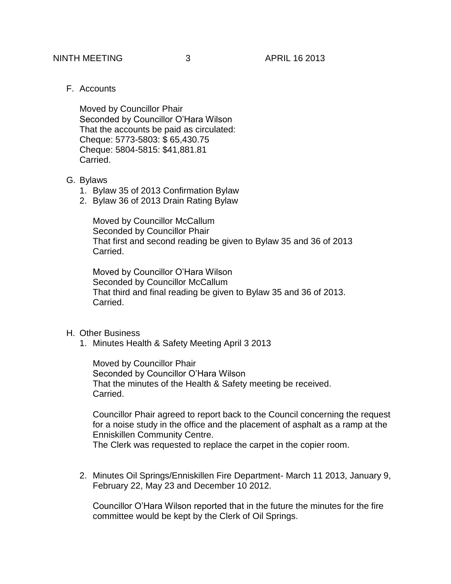F. Accounts

Moved by Councillor Phair Seconded by Councillor O'Hara Wilson That the accounts be paid as circulated: Cheque: 5773-5803: \$ 65,430.75 Cheque: 5804-5815: \$41,881.81 Carried.

- G. Bylaws
	- 1. Bylaw 35 of 2013 Confirmation Bylaw
	- 2. Bylaw 36 of 2013 Drain Rating Bylaw

Moved by Councillor McCallum Seconded by Councillor Phair That first and second reading be given to Bylaw 35 and 36 of 2013 Carried.

Moved by Councillor O'Hara Wilson Seconded by Councillor McCallum That third and final reading be given to Bylaw 35 and 36 of 2013. Carried.

## H. Other Business

1. Minutes Health & Safety Meeting April 3 2013

Moved by Councillor Phair Seconded by Councillor O'Hara Wilson That the minutes of the Health & Safety meeting be received. Carried.

Councillor Phair agreed to report back to the Council concerning the request for a noise study in the office and the placement of asphalt as a ramp at the Enniskillen Community Centre. The Clerk was requested to replace the carpet in the copier room.

2. Minutes Oil Springs/Enniskillen Fire Department- March 11 2013, January 9, February 22, May 23 and December 10 2012.

Councillor O'Hara Wilson reported that in the future the minutes for the fire committee would be kept by the Clerk of Oil Springs.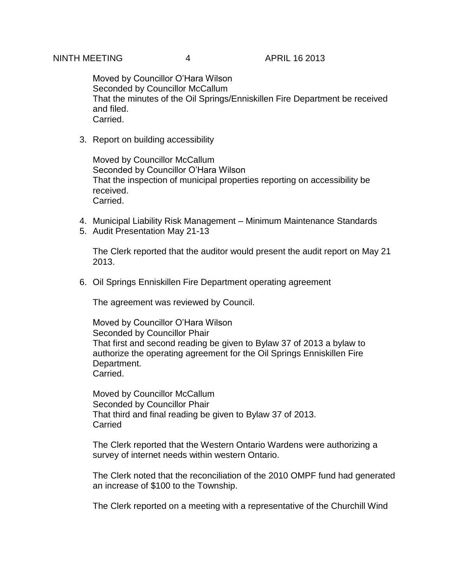Moved by Councillor O'Hara Wilson Seconded by Councillor McCallum That the minutes of the Oil Springs/Enniskillen Fire Department be received and filed. Carried.

3. Report on building accessibility

Moved by Councillor McCallum Seconded by Councillor O'Hara Wilson That the inspection of municipal properties reporting on accessibility be received. Carried.

- 4. Municipal Liability Risk Management Minimum Maintenance Standards
- 5. Audit Presentation May 21-13

The Clerk reported that the auditor would present the audit report on May 21 2013.

6. Oil Springs Enniskillen Fire Department operating agreement

The agreement was reviewed by Council.

Moved by Councillor O'Hara Wilson Seconded by Councillor Phair That first and second reading be given to Bylaw 37 of 2013 a bylaw to authorize the operating agreement for the Oil Springs Enniskillen Fire Department. Carried.

Moved by Councillor McCallum Seconded by Councillor Phair That third and final reading be given to Bylaw 37 of 2013. **Carried** 

The Clerk reported that the Western Ontario Wardens were authorizing a survey of internet needs within western Ontario.

The Clerk noted that the reconciliation of the 2010 OMPF fund had generated an increase of \$100 to the Township.

The Clerk reported on a meeting with a representative of the Churchill Wind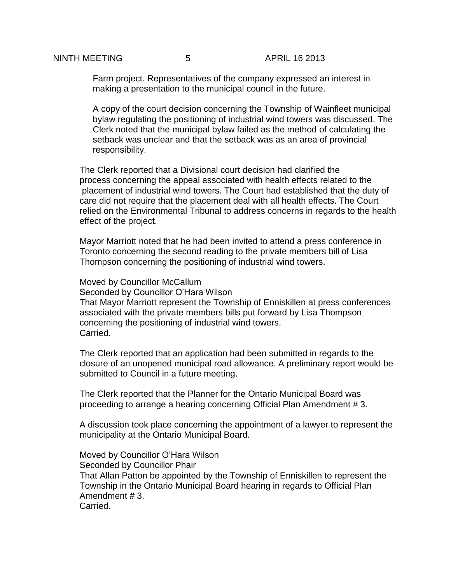Farm project. Representatives of the company expressed an interest in making a presentation to the municipal council in the future.

A copy of the court decision concerning the Township of Wainfleet municipal bylaw regulating the positioning of industrial wind towers was discussed. The Clerk noted that the municipal bylaw failed as the method of calculating the setback was unclear and that the setback was as an area of provincial responsibility.

The Clerk reported that a Divisional court decision had clarified the process concerning the appeal associated with health effects related to the placement of industrial wind towers. The Court had established that the duty of care did not require that the placement deal with all health effects. The Court relied on the Environmental Tribunal to address concerns in regards to the health effect of the project.

Mayor Marriott noted that he had been invited to attend a press conference in Toronto concerning the second reading to the private members bill of Lisa Thompson concerning the positioning of industrial wind towers.

Moved by Councillor McCallum Seconded by Councillor O'Hara Wilson That Mayor Marriott represent the Township of Enniskillen at press conferences associated with the private members bills put forward by Lisa Thompson concerning the positioning of industrial wind towers. Carried.

The Clerk reported that an application had been submitted in regards to the closure of an unopened municipal road allowance. A preliminary report would be submitted to Council in a future meeting.

The Clerk reported that the Planner for the Ontario Municipal Board was proceeding to arrange a hearing concerning Official Plan Amendment # 3.

A discussion took place concerning the appointment of a lawyer to represent the municipality at the Ontario Municipal Board.

Moved by Councillor O'Hara Wilson Seconded by Councillor Phair That Allan Patton be appointed by the Township of Enniskillen to represent the Township in the Ontario Municipal Board hearing in regards to Official Plan Amendment # 3. Carried.